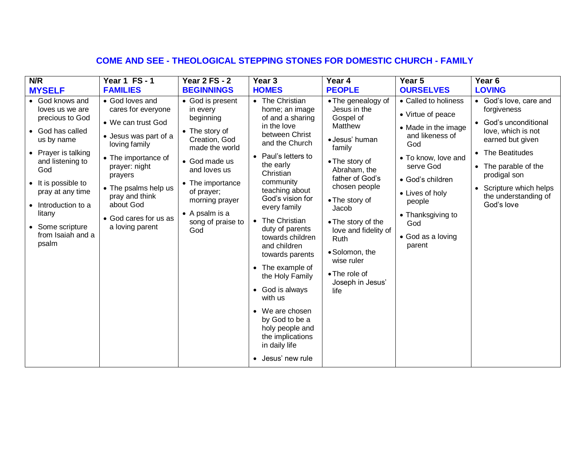# **COME AND SEE - THEOLOGICAL STEPPING STONES FOR DOMESTIC CHURCH - FAMILY**

| N/R                                                                                                                                                                                                                                                                                | Year 1 FS-1                                                                                                                                                                                                                                                 | <b>Year 2 FS - 2</b>                                                                                                                                                                                                                      | Year <sub>3</sub>                                                                                                                                                                                                                                                                                                                                                                                                                                                                                                           | Year 4                                                                                                                                                                                                                                                                                                                     | Year 5                                                                                                                                                                                                                                     | Year <sub>6</sub>                                                                                                                                                                                                                              |
|------------------------------------------------------------------------------------------------------------------------------------------------------------------------------------------------------------------------------------------------------------------------------------|-------------------------------------------------------------------------------------------------------------------------------------------------------------------------------------------------------------------------------------------------------------|-------------------------------------------------------------------------------------------------------------------------------------------------------------------------------------------------------------------------------------------|-----------------------------------------------------------------------------------------------------------------------------------------------------------------------------------------------------------------------------------------------------------------------------------------------------------------------------------------------------------------------------------------------------------------------------------------------------------------------------------------------------------------------------|----------------------------------------------------------------------------------------------------------------------------------------------------------------------------------------------------------------------------------------------------------------------------------------------------------------------------|--------------------------------------------------------------------------------------------------------------------------------------------------------------------------------------------------------------------------------------------|------------------------------------------------------------------------------------------------------------------------------------------------------------------------------------------------------------------------------------------------|
| <b>MYSELF</b>                                                                                                                                                                                                                                                                      | <b>FAMILIES</b>                                                                                                                                                                                                                                             | <b>BEGINNINGS</b>                                                                                                                                                                                                                         | <b>HOMES</b>                                                                                                                                                                                                                                                                                                                                                                                                                                                                                                                | <b>PEOPLE</b>                                                                                                                                                                                                                                                                                                              | <b>OURSELVES</b>                                                                                                                                                                                                                           | <b>LOVING</b>                                                                                                                                                                                                                                  |
| God knows and<br>$\bullet$<br>loves us we are<br>precious to God<br>• God has called<br>us by name<br>• Prayer is talking<br>and listening to<br>God<br>• It is possible to<br>pray at any time<br>• Introduction to a<br>litany<br>• Some scripture<br>from Isaiah and a<br>psalm | • God loves and<br>cares for everyone<br>• We can trust God<br>• Jesus was part of a<br>loving family<br>• The importance of<br>prayer: night<br>prayers<br>• The psalms help us<br>pray and think<br>about God<br>• God cares for us as<br>a loving parent | • God is present<br>in every<br>beginning<br>• The story of<br>Creation, God<br>made the world<br>• God made us<br>and loves us<br>• The importance<br>of prayer;<br>morning prayer<br>$\bullet$ A psalm is a<br>song of praise to<br>God | • The Christian<br>home; an image<br>of and a sharing<br>in the love<br>between Christ<br>and the Church<br>Paul's letters to<br>$\bullet$<br>the early<br>Christian<br>community<br>teaching about<br>God's vision for<br>every family<br>• The Christian<br>duty of parents<br>towards children<br>and children<br>towards parents<br>• The example of<br>the Holy Family<br>• God is always<br>with us<br>• We are chosen<br>by God to be a<br>holy people and<br>the implications<br>in daily life<br>• Jesus' new rule | • The genealogy of<br>Jesus in the<br>Gospel of<br>Matthew<br>· Jesus' human<br>family<br>• The story of<br>Abraham, the<br>father of God's<br>chosen people<br>• The story of<br>Jacob<br>• The story of the<br>love and fidelity of<br>Ruth<br>· Solomon, the<br>wise ruler<br>• The role of<br>Joseph in Jesus'<br>life | • Called to holiness<br>• Virtue of peace<br>• Made in the image<br>and likeness of<br>God<br>• To know, love and<br>serve God<br>• God's children<br>• Lives of holy<br>people<br>• Thanksgiving to<br>God<br>• God as a loving<br>parent | • God's love, care and<br>forgiveness<br>God's unconditional<br>$\bullet$<br>love, which is not<br>earned but given<br>• The Beatitudes<br>• The parable of the<br>prodigal son<br>Scripture which helps<br>the understanding of<br>God's love |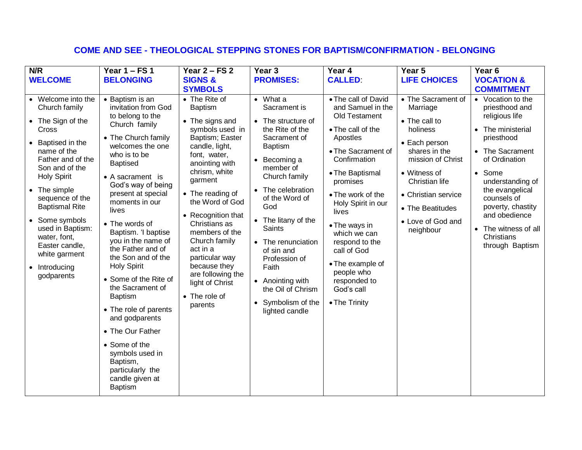# **COME AND SEE - THEOLOGICAL STEPPING STONES FOR BAPTISM/CONFIRMATION - BELONGING**

| N/R                                                                                                                                                                                                                                                                                                                                                               | Year $1 - FS$ 1                                                                                                                                                                                                                                                                                                                                                                                                                                                                                                                                                                                                             | Year $2 - FS$ 2                                                                                                                                                                                                                                                                                                                                                                                             | Year 3                                                                                                                                                                                                                                                                                                                                                                                                                     | Year 4                                                                                                                                                                                                                                                                                                                                                                 | Year 5                                                                                                                                                                                                                            | Year <sub>6</sub>                                                                                                                                                                                                                                                                                    |
|-------------------------------------------------------------------------------------------------------------------------------------------------------------------------------------------------------------------------------------------------------------------------------------------------------------------------------------------------------------------|-----------------------------------------------------------------------------------------------------------------------------------------------------------------------------------------------------------------------------------------------------------------------------------------------------------------------------------------------------------------------------------------------------------------------------------------------------------------------------------------------------------------------------------------------------------------------------------------------------------------------------|-------------------------------------------------------------------------------------------------------------------------------------------------------------------------------------------------------------------------------------------------------------------------------------------------------------------------------------------------------------------------------------------------------------|----------------------------------------------------------------------------------------------------------------------------------------------------------------------------------------------------------------------------------------------------------------------------------------------------------------------------------------------------------------------------------------------------------------------------|------------------------------------------------------------------------------------------------------------------------------------------------------------------------------------------------------------------------------------------------------------------------------------------------------------------------------------------------------------------------|-----------------------------------------------------------------------------------------------------------------------------------------------------------------------------------------------------------------------------------|------------------------------------------------------------------------------------------------------------------------------------------------------------------------------------------------------------------------------------------------------------------------------------------------------|
| <b>WELCOME</b>                                                                                                                                                                                                                                                                                                                                                    | <b>BELONGING</b>                                                                                                                                                                                                                                                                                                                                                                                                                                                                                                                                                                                                            | <b>SIGNS &amp;</b>                                                                                                                                                                                                                                                                                                                                                                                          | <b>PROMISES:</b>                                                                                                                                                                                                                                                                                                                                                                                                           | <b>CALLED</b>                                                                                                                                                                                                                                                                                                                                                          | <b>LIFE CHOICES</b>                                                                                                                                                                                                               | <b>VOCATION &amp;</b>                                                                                                                                                                                                                                                                                |
|                                                                                                                                                                                                                                                                                                                                                                   |                                                                                                                                                                                                                                                                                                                                                                                                                                                                                                                                                                                                                             | <b>SYMBOLS</b>                                                                                                                                                                                                                                                                                                                                                                                              |                                                                                                                                                                                                                                                                                                                                                                                                                            |                                                                                                                                                                                                                                                                                                                                                                        |                                                                                                                                                                                                                                   | <b>COMMITMENT</b>                                                                                                                                                                                                                                                                                    |
| • Welcome into the<br>Church family<br>• The Sign of the<br>Cross<br>Baptised in the<br>$\bullet$<br>name of the<br>Father and of the<br>Son and of the<br><b>Holy Spirit</b><br>• The simple<br>sequence of the<br><b>Baptismal Rite</b><br>• Some symbols<br>used in Baptism:<br>water, font,<br>Easter candle,<br>white garment<br>• Introducing<br>godparents | • Baptism is an<br>invitation from God<br>to belong to the<br>Church family<br>• The Church family<br>welcomes the one<br>who is to be<br><b>Baptised</b><br>• A sacrament is<br>God's way of being<br>present at special<br>moments in our<br>lives<br>• The words of<br>Baptism. 'I baptise<br>you in the name of<br>the Father and of<br>the Son and of the<br><b>Holy Spirit</b><br>• Some of the Rite of<br>the Sacrament of<br><b>Baptism</b><br>• The role of parents<br>and godparents<br>• The Our Father<br>• Some of the<br>symbols used in<br>Baptism,<br>particularly the<br>candle given at<br><b>Baptism</b> | • The Rite of<br><b>Baptism</b><br>• The signs and<br>symbols used in<br>Baptism; Easter<br>candle, light,<br>font, water,<br>anointing with<br>chrism, white<br>garment<br>• The reading of<br>the Word of God<br>• Recognition that<br>Christians as<br>members of the<br>Church family<br>act in a<br>particular way<br>because they<br>are following the<br>light of Christ<br>• The role of<br>parents | $\bullet$ What a<br>Sacrament is<br>• The structure of<br>the Rite of the<br>Sacrament of<br><b>Baptism</b><br>$\bullet$ Becoming a<br>member of<br>Church family<br>The celebration<br>of the Word of<br>God<br>The litany of the<br>$\bullet$<br><b>Saints</b><br>• The renunciation<br>of sin and<br>Profession of<br>Faith<br>• Anointing with<br>the Oil of Chrism<br>Symbolism of the<br>$\bullet$<br>lighted candle | • The call of David<br>and Samuel in the<br>Old Testament<br>• The call of the<br>Apostles<br>• The Sacrament of<br>Confirmation<br>• The Baptismal<br>promises<br>• The work of the<br>Holy Spirit in our<br>lives<br>• The ways in<br>which we can<br>respond to the<br>call of God<br>• The example of<br>people who<br>responded to<br>God's call<br>• The Trinity | • The Sacrament of<br>Marriage<br>• The call to<br>holiness<br>• Each person<br>shares in the<br>mission of Christ<br>• Witness of<br>Christian life<br>• Christian service<br>• The Beatitudes<br>• Love of God and<br>neighbour | • Vocation to the<br>priesthood and<br>religious life<br>The ministerial<br>$\bullet$<br>priesthood<br>• The Sacrament<br>of Ordination<br>• Some<br>understanding of<br>the evangelical<br>counsels of<br>poverty, chastity<br>and obedience<br>The witness of all<br>Christians<br>through Baptism |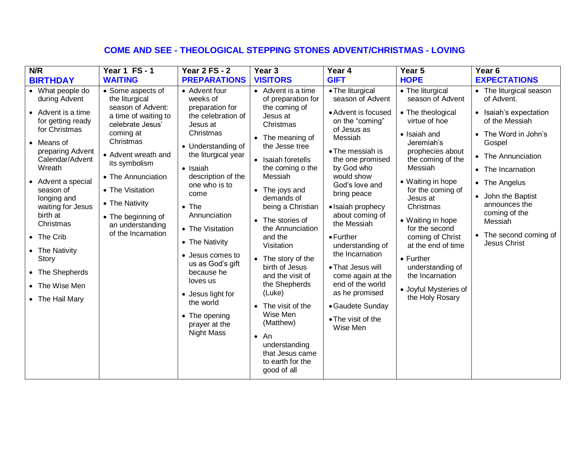## **COME AND SEE - THEOLOGICAL STEPPING STONES ADVENT/CHRISTMAS - LOVING**

| N/R                                                                                                                                                                                                                                                                                                                                                       | <b>Year 1 FS-1</b>                                                                                                                                                                                                                                                                                 | Year 2 $FS - 2$                                                                                                                                                                                                                                                                                                                                                                                                                | Year 3                                                                                                                                                                                                                                                                                                                                                                                                                                                                                                                           | Year 4                                                                                                                                                                                                                                                                                                                                                                                                                                                                 | Year 5                                                                                                                                                                                                                                                                                                                                                                                                           | Year 6                                                                                                                                                                                                                                                                                            |
|-----------------------------------------------------------------------------------------------------------------------------------------------------------------------------------------------------------------------------------------------------------------------------------------------------------------------------------------------------------|----------------------------------------------------------------------------------------------------------------------------------------------------------------------------------------------------------------------------------------------------------------------------------------------------|--------------------------------------------------------------------------------------------------------------------------------------------------------------------------------------------------------------------------------------------------------------------------------------------------------------------------------------------------------------------------------------------------------------------------------|----------------------------------------------------------------------------------------------------------------------------------------------------------------------------------------------------------------------------------------------------------------------------------------------------------------------------------------------------------------------------------------------------------------------------------------------------------------------------------------------------------------------------------|------------------------------------------------------------------------------------------------------------------------------------------------------------------------------------------------------------------------------------------------------------------------------------------------------------------------------------------------------------------------------------------------------------------------------------------------------------------------|------------------------------------------------------------------------------------------------------------------------------------------------------------------------------------------------------------------------------------------------------------------------------------------------------------------------------------------------------------------------------------------------------------------|---------------------------------------------------------------------------------------------------------------------------------------------------------------------------------------------------------------------------------------------------------------------------------------------------|
| <b>BIRTHDAY</b>                                                                                                                                                                                                                                                                                                                                           | <b>WAITING</b>                                                                                                                                                                                                                                                                                     | <b>PREPARATIONS</b>                                                                                                                                                                                                                                                                                                                                                                                                            | <b>VISITORS</b>                                                                                                                                                                                                                                                                                                                                                                                                                                                                                                                  | <b>GIFT</b>                                                                                                                                                                                                                                                                                                                                                                                                                                                            | <b>HOPE</b>                                                                                                                                                                                                                                                                                                                                                                                                      | <b>EXPECTATIONS</b>                                                                                                                                                                                                                                                                               |
| • What people do<br>during Advent<br>• Advent is a time<br>for getting ready<br>for Christmas<br>• Means of<br>preparing Advent<br>Calendar/Advent<br>Wreath<br>• Advent a special<br>season of<br>longing and<br>waiting for Jesus<br>birth at<br>Christmas<br>• The Crib<br>• The Nativity<br>Story<br>• The Shepherds<br>The Wise Men<br>The Hail Mary | • Some aspects of<br>the liturgical<br>season of Advent:<br>a time of waiting to<br>celebrate Jesus'<br>coming at<br>Christmas<br>• Advent wreath and<br>its symbolism<br>• The Annunciation<br>• The Visitation<br>• The Nativity<br>• The beginning of<br>an understanding<br>of the Incarnation | • Advent four<br>weeks of<br>preparation for<br>the celebration of<br>Jesus at<br>Christmas<br>• Understanding of<br>the liturgical year<br>• Isaiah<br>description of the<br>one who is to<br>come<br>$\bullet$ The<br>Annunciation<br>• The Visitation<br>• The Nativity<br>• Jesus comes to<br>us as God's gift<br>because he<br>loves us<br>• Jesus light for<br>the world<br>• The opening<br>prayer at the<br>Night Mass | • Advent is a time<br>of preparation for<br>the coming of<br>Jesus at<br>Christmas<br>• The meaning of<br>the Jesse tree<br>• Isaiah foretells<br>the coming o the<br>Messiah<br>• The joys and<br>demands of<br>being a Christian<br>• The stories of<br>the Annunciation<br>and the<br>Visitation<br>• The story of the<br>birth of Jesus<br>and the visit of<br>the Shepherds<br>(Luke)<br>• The visit of the<br>Wise Men<br>(Matthew)<br>$\bullet$ An<br>understanding<br>that Jesus came<br>to earth for the<br>good of all | • The liturgical<br>season of Advent<br>• Advent is focused<br>on the "coming"<br>of Jesus as<br>Messiah<br>• The messiah is<br>the one promised<br>by God who<br>would show<br>God's love and<br>bring peace<br>• Isaiah prophecy<br>about coming of<br>the Messiah<br>$\bullet$ Further<br>understanding of<br>the Incarnation<br>• That Jesus will<br>come again at the<br>end of the world<br>as he promised<br>• Gaudete Sunday<br>• The visit of the<br>Wise Men | • The liturgical<br>season of Advent<br>• The theological<br>virtue of hoe<br>• Isaiah and<br>Jeremiah's<br>prophecies about<br>the coming of the<br>Messiah<br>• Waiting in hope<br>for the coming of<br>Jesus at<br>Christmas<br>• Waiting in hope<br>for the second<br>coming of Christ<br>at the end of time<br>• Further<br>understanding of<br>the Incarnation<br>• Joyful Mysteries of<br>the Holy Rosary | • The liturgical season<br>of Advent.<br>• Isaiah's expectation<br>of the Messiah<br>• The Word in John's<br>Gospel<br>• The Annunciation<br>• The Incarnation<br>• The Angelus<br>John the Baptist<br>announces the<br>coming of the<br>Messiah<br>• The second coming of<br><b>Jesus Christ</b> |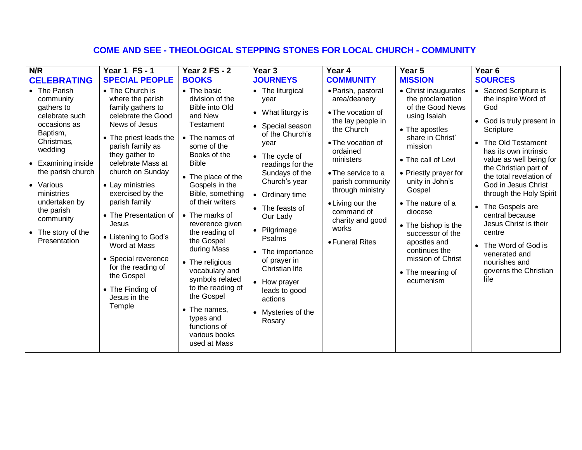# **COME AND SEE - THEOLOGICAL STEPPING STONES FOR LOCAL CHURCH - COMMUNITY**

| N/R                                                                                                                                                                                                                                                                               | Year 1 FS-1                                                                                                                                                                                                                                                                                                                                                                                                                                          | <b>Year 2 FS - 2</b>                                                                                                                                                                                                                                                                                                                                                                                                                                                                                  | Year <sub>3</sub>                                                                                                                                                                                                                                                                                                                                                               | Year 4                                                                                                                                                                                                                                                                                   | Year 5                                                                                                                                                                                                                                                                                                                                                                      | Year <sub>6</sub>                                                                                                                                                                                                                                                                                                                                                                                                                            |
|-----------------------------------------------------------------------------------------------------------------------------------------------------------------------------------------------------------------------------------------------------------------------------------|------------------------------------------------------------------------------------------------------------------------------------------------------------------------------------------------------------------------------------------------------------------------------------------------------------------------------------------------------------------------------------------------------------------------------------------------------|-------------------------------------------------------------------------------------------------------------------------------------------------------------------------------------------------------------------------------------------------------------------------------------------------------------------------------------------------------------------------------------------------------------------------------------------------------------------------------------------------------|---------------------------------------------------------------------------------------------------------------------------------------------------------------------------------------------------------------------------------------------------------------------------------------------------------------------------------------------------------------------------------|------------------------------------------------------------------------------------------------------------------------------------------------------------------------------------------------------------------------------------------------------------------------------------------|-----------------------------------------------------------------------------------------------------------------------------------------------------------------------------------------------------------------------------------------------------------------------------------------------------------------------------------------------------------------------------|----------------------------------------------------------------------------------------------------------------------------------------------------------------------------------------------------------------------------------------------------------------------------------------------------------------------------------------------------------------------------------------------------------------------------------------------|
| <b>CELEBRATING</b>                                                                                                                                                                                                                                                                | <b>SPECIAL PEOPLE</b>                                                                                                                                                                                                                                                                                                                                                                                                                                | <b>BOOKS</b>                                                                                                                                                                                                                                                                                                                                                                                                                                                                                          | <b>JOURNEYS</b>                                                                                                                                                                                                                                                                                                                                                                 | <b>COMMUNITY</b>                                                                                                                                                                                                                                                                         | <b>MISSION</b>                                                                                                                                                                                                                                                                                                                                                              | <b>SOURCES</b>                                                                                                                                                                                                                                                                                                                                                                                                                               |
| • The Parish<br>community<br>gathers to<br>celebrate such<br>occasions as<br>Baptism,<br>Christmas,<br>wedding<br>Examining inside<br>$\bullet$<br>the parish church<br>• Various<br>ministries<br>undertaken by<br>the parish<br>community<br>• The story of the<br>Presentation | • The Church is<br>where the parish<br>family gathers to<br>celebrate the Good<br>News of Jesus<br>• The priest leads the<br>parish family as<br>they gather to<br>celebrate Mass at<br>church on Sunday<br>• Lay ministries<br>exercised by the<br>parish family<br>• The Presentation of<br>Jesus<br>• Listening to God's<br>Word at Mass<br>• Special reverence<br>for the reading of<br>the Gospel<br>• The Finding of<br>Jesus in the<br>Temple | $\bullet$ The basic<br>division of the<br><b>Bible into Old</b><br>and New<br>Testament<br>• The names of<br>some of the<br>Books of the<br><b>Bible</b><br>• The place of the<br>Gospels in the<br>Bible, something<br>of their writers<br>• The marks of<br>reverence given<br>the reading of<br>the Gospel<br>during Mass<br>• The religious<br>vocabulary and<br>symbols related<br>to the reading of<br>the Gospel<br>• The names,<br>types and<br>functions of<br>various books<br>used at Mass | • The liturgical<br>year<br>• What liturgy is<br>• Special season<br>of the Church's<br>year<br>• The cycle of<br>readings for the<br>Sundays of the<br>Church's year<br>• Ordinary time<br>• The feasts of<br>Our Lady<br>Pilgrimage<br>Psalms<br>• The importance<br>of prayer in<br>Christian life<br>• How prayer<br>leads to good<br>actions<br>Mysteries of the<br>Rosary | · Parish, pastoral<br>area/deanery<br>• The vocation of<br>the lay people in<br>the Church<br>• The vocation of<br>ordained<br>ministers<br>• The service to a<br>parish community<br>through ministry<br>• Living our the<br>command of<br>charity and good<br>works<br>• Funeral Rites | • Christ inaugurates<br>the proclamation<br>of the Good News<br>using Isaiah<br>• The apostles<br>share in Christ'<br>mission<br>• The call of Levi<br>• Priestly prayer for<br>unity in John's<br>Gospel<br>• The nature of a<br>diocese<br>• The bishop is the<br>successor of the<br>apostles and<br>continues the<br>mission of Christ<br>• The meaning of<br>ecumenism | • Sacred Scripture is<br>the inspire Word of<br>God<br>God is truly present in<br>Scripture<br>The Old Testament<br>has its own intrinsic<br>value as well being for<br>the Christian part of<br>the total revelation of<br>God in Jesus Christ<br>through the Holy Spirit<br>The Gospels are<br>central because<br>Jesus Christ is their<br>centre<br>The Word of God is<br>venerated and<br>nourishes and<br>governs the Christian<br>life |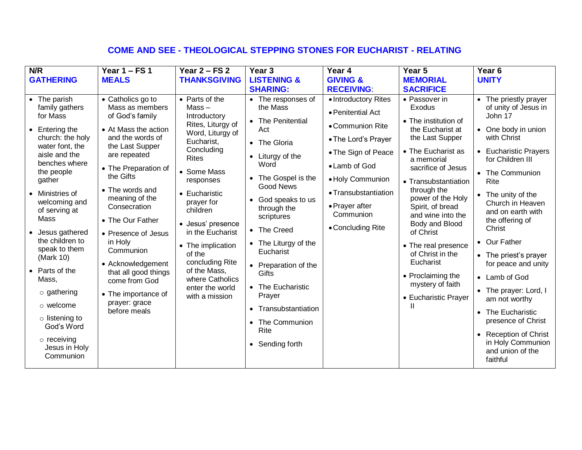# **COME AND SEE - THEOLOGICAL STEPPING STONES FOR EUCHARIST - RELATING**

| N/R                                                                                                                                                                                                                                                                                                                                                                                                                                                         | Year $1 - FS$ 1                                                                                                                                                                                                                                                                                                                                                                                                           | Year $2 - FS$ 2                                                                                                                                                                                                                                                                                                                                                           | Year <sub>3</sub>                                                                                                                                                                                                                                                                                                                                                                                                                           | Year 4                                                                                                                                                                                                                       | Year 5                                                                                                                                                                                                                                                                                                                                                                                                        | Year <sub>6</sub>                                                                                                                                                                                                                                                                                                                                                                                                                                                                                          |
|-------------------------------------------------------------------------------------------------------------------------------------------------------------------------------------------------------------------------------------------------------------------------------------------------------------------------------------------------------------------------------------------------------------------------------------------------------------|---------------------------------------------------------------------------------------------------------------------------------------------------------------------------------------------------------------------------------------------------------------------------------------------------------------------------------------------------------------------------------------------------------------------------|---------------------------------------------------------------------------------------------------------------------------------------------------------------------------------------------------------------------------------------------------------------------------------------------------------------------------------------------------------------------------|---------------------------------------------------------------------------------------------------------------------------------------------------------------------------------------------------------------------------------------------------------------------------------------------------------------------------------------------------------------------------------------------------------------------------------------------|------------------------------------------------------------------------------------------------------------------------------------------------------------------------------------------------------------------------------|---------------------------------------------------------------------------------------------------------------------------------------------------------------------------------------------------------------------------------------------------------------------------------------------------------------------------------------------------------------------------------------------------------------|------------------------------------------------------------------------------------------------------------------------------------------------------------------------------------------------------------------------------------------------------------------------------------------------------------------------------------------------------------------------------------------------------------------------------------------------------------------------------------------------------------|
| <b>GATHERING</b>                                                                                                                                                                                                                                                                                                                                                                                                                                            | <b>MEALS</b>                                                                                                                                                                                                                                                                                                                                                                                                              | <b>THANKSGIVING</b>                                                                                                                                                                                                                                                                                                                                                       | <b>LISTENING &amp;</b>                                                                                                                                                                                                                                                                                                                                                                                                                      | <b>GIVING &amp;</b>                                                                                                                                                                                                          | <b>MEMORIAL</b>                                                                                                                                                                                                                                                                                                                                                                                               | <b>UNITY</b>                                                                                                                                                                                                                                                                                                                                                                                                                                                                                               |
|                                                                                                                                                                                                                                                                                                                                                                                                                                                             |                                                                                                                                                                                                                                                                                                                                                                                                                           |                                                                                                                                                                                                                                                                                                                                                                           | <b>SHARING:</b>                                                                                                                                                                                                                                                                                                                                                                                                                             | <b>RECEIVING:</b>                                                                                                                                                                                                            | <b>SACRIFICE</b>                                                                                                                                                                                                                                                                                                                                                                                              |                                                                                                                                                                                                                                                                                                                                                                                                                                                                                                            |
| • The parish<br>family gathers<br>for Mass<br>$\bullet$ Entering the<br>church: the holy<br>water font, the<br>aisle and the<br>benches where<br>the people<br>gather<br>Ministries of<br>$\bullet$<br>welcoming and<br>of serving at<br>Mass<br>• Jesus gathered<br>the children to<br>speak to them<br>(Mark 10)<br>• Parts of the<br>Mass,<br>$\circ$ gathering<br>o welcome<br>$\circ$ listening to<br>God's Word<br>$\circ$ receiving<br>Jesus in Holy | • Catholics go to<br>Mass as members<br>of God's family<br>• At Mass the action<br>and the words of<br>the Last Supper<br>are repeated<br>• The Preparation of<br>the Gifts<br>• The words and<br>meaning of the<br>Consecration<br>• The Our Father<br>• Presence of Jesus<br>in Holy<br>Communion<br>• Acknowledgement<br>that all good things<br>come from God<br>• The importance of<br>prayer: grace<br>before meals | • Parts of the<br>$Mass -$<br>Introductory<br>Rites, Liturgy of<br>Word, Liturgy of<br>Eucharist,<br>Concluding<br><b>Rites</b><br>• Some Mass<br>responses<br>• Eucharistic<br>prayer for<br>children<br>• Jesus' presence<br>in the Eucharist<br>• The implication<br>of the<br>concluding Rite<br>of the Mass,<br>where Catholics<br>enter the world<br>with a mission | • The responses of<br>the Mass<br><b>The Penitential</b><br>$\bullet$<br>Act<br>• The Gloria<br>• Liturgy of the<br>Word<br>The Gospel is the<br>$\bullet$<br>Good News<br>God speaks to us<br>through the<br>scriptures<br><b>The Creed</b><br>$\bullet$<br>• The Liturgy of the<br>Eucharist<br>• Preparation of the<br>Gifts<br>The Eucharistic<br>Prayer<br>Transubstantiation<br>$\bullet$<br>The Communion<br>Rite<br>• Sending forth | • Introductory Rites<br>• Penitential Act<br>• Communion Rite<br>• The Lord's Prayer<br>• The Sign of Peace<br>• Lamb of God<br>• Holy Communion<br>• Transubstantiation<br>• Prayer after<br>Communion<br>• Concluding Rite | • Passover in<br>Exodus<br>• The institution of<br>the Eucharist at<br>the Last Supper<br>• The Eucharist as<br>a memorial<br>sacrifice of Jesus<br>• Transubstantiation<br>through the<br>power of the Holy<br>Spirit, of bread<br>and wine into the<br>Body and Blood<br>of Christ<br>• The real presence<br>of Christ in the<br>Eucharist<br>• Proclaiming the<br>mystery of faith<br>• Eucharistic Prayer | • The priestly prayer<br>of unity of Jesus in<br>John 17<br>• One body in union<br>with Christ<br>• Eucharistic Prayers<br>for Children III<br>• The Communion<br>Rite<br>• The unity of the<br>Church in Heaven<br>and on earth with<br>the offering of<br>Christ<br>• Our Father<br>• The priest's prayer<br>for peace and unity<br>• Lamb of God<br>• The prayer: Lord, I<br>am not worthy<br>• The Eucharistic<br>presence of Christ<br>• Reception of Christ<br>in Holy Communion<br>and union of the |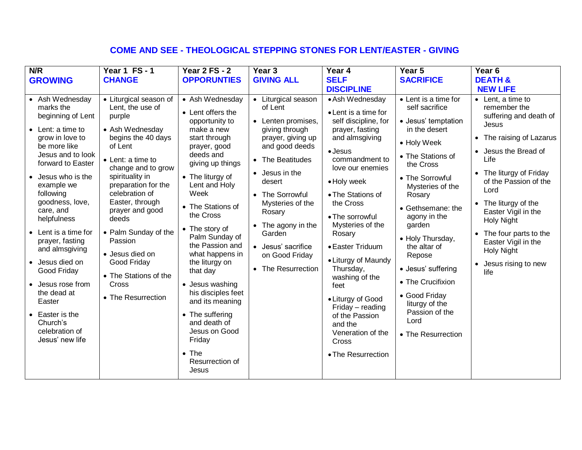## **COME AND SEE - THEOLOGICAL STEPPING STONES FOR LENT/EASTER - GIVING**

| N/R                                                                                                                                                                                                                                                                                                                                                                                                                                                                          | <b>Year 1 FS-1</b>                                                                                                                                                                                                                                                                                                                                                                          | <b>Year 2 FS - 2</b>                                                                                                                                                                                                                                                                                                                                                                                                                                                                                 | Year <sub>3</sub>                                                                                                                                                                                                                                                                                      | Year 4                                                                                                                                                                                                                                                                                                                                                                                                                                                                      | Year 5                                                                                                                                                                                                                                                                                                                                                                                                      | Year <sub>6</sub>                                                                                                                                                                                                                                                                                                                                                         |
|------------------------------------------------------------------------------------------------------------------------------------------------------------------------------------------------------------------------------------------------------------------------------------------------------------------------------------------------------------------------------------------------------------------------------------------------------------------------------|---------------------------------------------------------------------------------------------------------------------------------------------------------------------------------------------------------------------------------------------------------------------------------------------------------------------------------------------------------------------------------------------|------------------------------------------------------------------------------------------------------------------------------------------------------------------------------------------------------------------------------------------------------------------------------------------------------------------------------------------------------------------------------------------------------------------------------------------------------------------------------------------------------|--------------------------------------------------------------------------------------------------------------------------------------------------------------------------------------------------------------------------------------------------------------------------------------------------------|-----------------------------------------------------------------------------------------------------------------------------------------------------------------------------------------------------------------------------------------------------------------------------------------------------------------------------------------------------------------------------------------------------------------------------------------------------------------------------|-------------------------------------------------------------------------------------------------------------------------------------------------------------------------------------------------------------------------------------------------------------------------------------------------------------------------------------------------------------------------------------------------------------|---------------------------------------------------------------------------------------------------------------------------------------------------------------------------------------------------------------------------------------------------------------------------------------------------------------------------------------------------------------------------|
| <b>GROWING</b>                                                                                                                                                                                                                                                                                                                                                                                                                                                               | <b>CHANGE</b>                                                                                                                                                                                                                                                                                                                                                                               | <b>OPPORUNTIES</b>                                                                                                                                                                                                                                                                                                                                                                                                                                                                                   | <b>GIVING ALL</b>                                                                                                                                                                                                                                                                                      | <b>SELF</b>                                                                                                                                                                                                                                                                                                                                                                                                                                                                 | <b>SACRIFICE</b>                                                                                                                                                                                                                                                                                                                                                                                            | <b>DEATH &amp;</b>                                                                                                                                                                                                                                                                                                                                                        |
|                                                                                                                                                                                                                                                                                                                                                                                                                                                                              |                                                                                                                                                                                                                                                                                                                                                                                             |                                                                                                                                                                                                                                                                                                                                                                                                                                                                                                      |                                                                                                                                                                                                                                                                                                        | <b>DISCIPLINE</b>                                                                                                                                                                                                                                                                                                                                                                                                                                                           |                                                                                                                                                                                                                                                                                                                                                                                                             | <b>NEW LIFE</b>                                                                                                                                                                                                                                                                                                                                                           |
| • Ash Wednesday<br>marks the<br>beginning of Lent<br>• Lent: a time to<br>grow in love to<br>be more like<br>Jesus and to look<br>forward to Easter<br>• Jesus who is the<br>example we<br>following<br>goodness, love,<br>care, and<br>helpfulness<br>• Lent is a time for<br>prayer, fasting<br>and almsgiving<br>• Jesus died on<br>Good Friday<br>• Jesus rose from<br>the dead at<br>Easter<br>$\bullet$ Easter is the<br>Church's<br>celebration of<br>Jesus' new life | • Liturgical season of<br>Lent, the use of<br>purple<br>• Ash Wednesday<br>begins the 40 days<br>of Lent<br>• Lent: a time to<br>change and to grow<br>spirituality in<br>preparation for the<br>celebration of<br>Easter, through<br>prayer and good<br>deeds<br>• Palm Sunday of the<br>Passion<br>• Jesus died on<br>Good Friday<br>• The Stations of the<br>Cross<br>• The Resurrection | • Ash Wednesday<br>• Lent offers the<br>opportunity to<br>make a new<br>start through<br>prayer, good<br>deeds and<br>giving up things<br>• The liturgy of<br>Lent and Holy<br>Week<br>• The Stations of<br>the Cross<br>• The story of<br>Palm Sunday of<br>the Passion and<br>what happens in<br>the liturgy on<br>that day<br>• Jesus washing<br>his disciples feet<br>and its meaning<br>• The suffering<br>and death of<br>Jesus on Good<br>Friday<br>$\bullet$ The<br>Resurrection of<br>Jesus | Liturgical season<br>of Lent<br>• Lenten promises,<br>giving through<br>prayer, giving up<br>and good deeds<br>• The Beatitudes<br>Jesus in the<br>desert<br>• The Sorrowful<br>Mysteries of the<br>Rosary<br>The agony in the<br>Garden<br>• Jesus' sacrifice<br>on Good Friday<br>• The Resurrection | • Ash Wednesday<br>• Lent is a time for<br>self discipline, for<br>prayer, fasting<br>and almsgiving<br>$\bullet$ Jesus<br>commandment to<br>love our enemies<br>• Holy week<br>• The Stations of<br>the Cross<br>• The sorrowful<br>Mysteries of the<br>Rosary<br>• Easter Triduum<br>• Liturgy of Maundy<br>Thursday,<br>washing of the<br>feet<br>• Liturgy of Good<br>Friday - reading<br>of the Passion<br>and the<br>Veneration of the<br>Cross<br>• The Resurrection | • Lent is a time for<br>self sacrifice<br>• Jesus' temptation<br>in the desert<br>• Holy Week<br>• The Stations of<br>the Cross<br>• The Sorrowful<br>Mysteries of the<br>Rosary<br>• Gethsemane: the<br>agony in the<br>garden<br>• Holy Thursday,<br>the altar of<br>Repose<br>• Jesus' suffering<br>• The Crucifixion<br>• Good Friday<br>liturgy of the<br>Passion of the<br>Lord<br>• The Resurrection | $\bullet$ Lent, a time to<br>remember the<br>suffering and death of<br>Jesus<br>• The raising of Lazarus<br>• Jesus the Bread of<br>Life<br>• The liturgy of Friday<br>of the Passion of the<br>Lord<br>• The liturgy of the<br>Easter Vigil in the<br>Holy Night<br>• The four parts to the<br>Easter Vigil in the<br><b>Holy Night</b><br>• Jesus rising to new<br>life |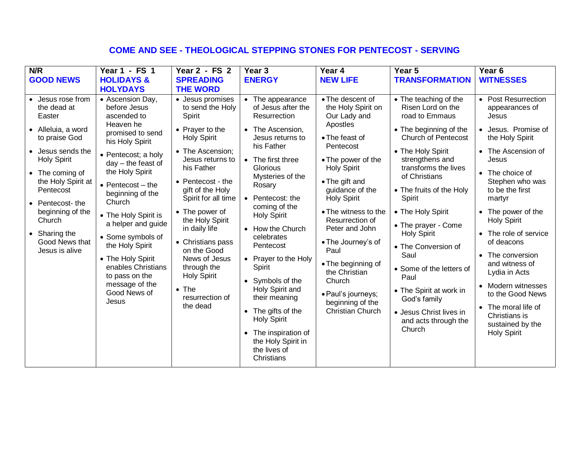#### **COME AND SEE - THEOLOGICAL STEPPING STONES FOR PENTECOST - SERVING**

| N/R                                                                                                                                                                                                                                                                                    | Year 1 - FS 1                                                                                                                                                                                                                                                                                                                                                                                                                  | Year 2 - FS 2                                                                                                                                                                                                                                                                                                                                                                                                 | Year <sub>3</sub>                                                                                                                                                                                                                                                                                                                                                                                                                                                                                       | Year 4                                                                                                                                                                                                                                                                                                                                                                                                                    | Year 5                                                                                                                                                                                                                                                                                                                                                                                                                                                                                   | Year <sub>6</sub>                                                                                                                                                                                                                                                                                                                                                                                                                                                           |
|----------------------------------------------------------------------------------------------------------------------------------------------------------------------------------------------------------------------------------------------------------------------------------------|--------------------------------------------------------------------------------------------------------------------------------------------------------------------------------------------------------------------------------------------------------------------------------------------------------------------------------------------------------------------------------------------------------------------------------|---------------------------------------------------------------------------------------------------------------------------------------------------------------------------------------------------------------------------------------------------------------------------------------------------------------------------------------------------------------------------------------------------------------|---------------------------------------------------------------------------------------------------------------------------------------------------------------------------------------------------------------------------------------------------------------------------------------------------------------------------------------------------------------------------------------------------------------------------------------------------------------------------------------------------------|---------------------------------------------------------------------------------------------------------------------------------------------------------------------------------------------------------------------------------------------------------------------------------------------------------------------------------------------------------------------------------------------------------------------------|------------------------------------------------------------------------------------------------------------------------------------------------------------------------------------------------------------------------------------------------------------------------------------------------------------------------------------------------------------------------------------------------------------------------------------------------------------------------------------------|-----------------------------------------------------------------------------------------------------------------------------------------------------------------------------------------------------------------------------------------------------------------------------------------------------------------------------------------------------------------------------------------------------------------------------------------------------------------------------|
| <b>GOOD NEWS</b>                                                                                                                                                                                                                                                                       | <b>HOLIDAYS &amp;</b>                                                                                                                                                                                                                                                                                                                                                                                                          | <b>SPREADING</b>                                                                                                                                                                                                                                                                                                                                                                                              | <b>ENERGY</b>                                                                                                                                                                                                                                                                                                                                                                                                                                                                                           | <b>NEW LIFE</b>                                                                                                                                                                                                                                                                                                                                                                                                           | <b>TRANSFORMATION</b>                                                                                                                                                                                                                                                                                                                                                                                                                                                                    | <b>WITNESSES</b>                                                                                                                                                                                                                                                                                                                                                                                                                                                            |
|                                                                                                                                                                                                                                                                                        | <b>HOLYDAYS</b>                                                                                                                                                                                                                                                                                                                                                                                                                | <b>THE WORD</b>                                                                                                                                                                                                                                                                                                                                                                                               |                                                                                                                                                                                                                                                                                                                                                                                                                                                                                                         |                                                                                                                                                                                                                                                                                                                                                                                                                           |                                                                                                                                                                                                                                                                                                                                                                                                                                                                                          |                                                                                                                                                                                                                                                                                                                                                                                                                                                                             |
| Jesus rose from<br>the dead at<br>Easter<br>• Alleluia, a word<br>to praise God<br>• Jesus sends the<br><b>Holy Spirit</b><br>• The coming of<br>the Holy Spirit at<br>Pentecost<br>• Pentecost-the<br>beginning of the<br>Church<br>• Sharing the<br>Good News that<br>Jesus is alive | • Ascension Day,<br>before Jesus<br>ascended to<br>Heaven he<br>promised to send<br>his Holy Spirit<br>• Pentecost; a holy<br>$day - the feast of$<br>the Holy Spirit<br>$\bullet$ Pentecost - the<br>beginning of the<br>Church<br>• The Holy Spirit is<br>a helper and guide<br>• Some symbols of<br>the Holy Spirit<br>• The Holy Spirit<br>enables Christians<br>to pass on the<br>message of the<br>Good News of<br>Jesus | • Jesus promises<br>to send the Holy<br>Spirit<br>• Prayer to the<br><b>Holy Spirit</b><br>• The Ascension:<br>Jesus returns to<br>his Father<br>• Pentecost - the<br>gift of the Holy<br>Spirit for all time<br>• The power of<br>the Holy Spirit<br>in daily life<br>• Christians pass<br>on the Good<br>News of Jesus<br>through the<br><b>Holy Spirit</b><br>$\bullet$ The<br>resurrection of<br>the dead | • The appearance<br>of Jesus after the<br>Resurrection<br>• The Ascension,<br>Jesus returns to<br>his Father<br>• The first three<br>Glorious<br>Mysteries of the<br>Rosary<br>• Pentecost: the<br>coming of the<br><b>Holy Spirit</b><br>• How the Church<br>celebrates<br>Pentecost<br>• Prayer to the Holy<br>Spirit<br>• Symbols of the<br>Holy Spirit and<br>their meaning<br>• The gifts of the<br><b>Holy Spirit</b><br>• The inspiration of<br>the Holy Spirit in<br>the lives of<br>Christians | • The descent of<br>the Holy Spirit on<br>Our Lady and<br>Apostles<br>• The feast of<br>Pentecost<br>• The power of the<br><b>Holy Spirit</b><br>• The gift and<br>guidance of the<br><b>Holy Spirit</b><br>• The witness to the<br>Resurrection of<br>Peter and John<br>• The Journey's of<br>Paul<br>• The beginning of<br>the Christian<br>Church<br>· Paul's journeys;<br>beginning of the<br><b>Christian Church</b> | • The teaching of the<br>Risen Lord on the<br>road to Emmaus<br>• The beginning of the<br><b>Church of Pentecost</b><br>• The Holy Spirit<br>strengthens and<br>transforms the lives<br>of Christians<br>• The fruits of the Holy<br>Spirit<br>• The Holy Spirit<br>• The prayer - Come<br><b>Holy Spirit</b><br>• The Conversion of<br>Saul<br>• Some of the letters of<br>Paul<br>• The Spirit at work in<br>God's family<br>• Jesus Christ lives in<br>and acts through the<br>Church | • Post Resurrection<br>appearances of<br>Jesus<br>• Jesus. Promise of<br>the Holy Spirit<br>• The Ascension of<br>Jesus<br>The choice of<br>$\bullet$<br>Stephen who was<br>to be the first<br>martyr<br>• The power of the<br><b>Holy Spirit</b><br>• The role of service<br>of deacons<br>• The conversion<br>and witness of<br>Lydia in Acts<br>• Modern witnesses<br>to the Good News<br>• The moral life of<br>Christians is<br>sustained by the<br><b>Holy Spirit</b> |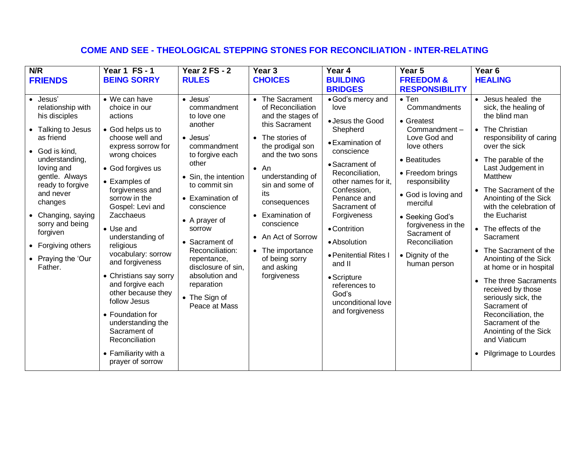# **COME AND SEE - THEOLOGICAL STEPPING STONES FOR RECONCILIATION - INTER-RELATING**

| N/R                                                                                                                                                                                                                                                                                                                      | <b>Year 1 FS-1</b>                                                                                                                                                                                                                                                                                                                                                                                                                                                                                                                    | <b>Year 2 FS - 2</b>                                                                                                                                                                                                                                                                                                                                       | Year <sub>3</sub>                                                                                                                                                                                                                                                                                                                          | Year 4                                                                                                                                                                                                                                                                                                                                                                    | Year 5                                                                                                                                                                                                                                                                                             | Year <sub>6</sub>                                                                                                                                                                                                                                                                                                                                                                                                                                                                                                                                                                                       |
|--------------------------------------------------------------------------------------------------------------------------------------------------------------------------------------------------------------------------------------------------------------------------------------------------------------------------|---------------------------------------------------------------------------------------------------------------------------------------------------------------------------------------------------------------------------------------------------------------------------------------------------------------------------------------------------------------------------------------------------------------------------------------------------------------------------------------------------------------------------------------|------------------------------------------------------------------------------------------------------------------------------------------------------------------------------------------------------------------------------------------------------------------------------------------------------------------------------------------------------------|--------------------------------------------------------------------------------------------------------------------------------------------------------------------------------------------------------------------------------------------------------------------------------------------------------------------------------------------|---------------------------------------------------------------------------------------------------------------------------------------------------------------------------------------------------------------------------------------------------------------------------------------------------------------------------------------------------------------------------|----------------------------------------------------------------------------------------------------------------------------------------------------------------------------------------------------------------------------------------------------------------------------------------------------|---------------------------------------------------------------------------------------------------------------------------------------------------------------------------------------------------------------------------------------------------------------------------------------------------------------------------------------------------------------------------------------------------------------------------------------------------------------------------------------------------------------------------------------------------------------------------------------------------------|
| <b>FRIENDS</b>                                                                                                                                                                                                                                                                                                           | <b>BEING SORRY</b>                                                                                                                                                                                                                                                                                                                                                                                                                                                                                                                    | <b>RULES</b>                                                                                                                                                                                                                                                                                                                                               | <b>CHOICES</b>                                                                                                                                                                                                                                                                                                                             | <b>BUILDING</b>                                                                                                                                                                                                                                                                                                                                                           | <b>FREEDOM &amp;</b>                                                                                                                                                                                                                                                                               | <b>HEALING</b>                                                                                                                                                                                                                                                                                                                                                                                                                                                                                                                                                                                          |
|                                                                                                                                                                                                                                                                                                                          |                                                                                                                                                                                                                                                                                                                                                                                                                                                                                                                                       |                                                                                                                                                                                                                                                                                                                                                            |                                                                                                                                                                                                                                                                                                                                            | <b>BRIDGES</b>                                                                                                                                                                                                                                                                                                                                                            | <b>RESPONSIBILITY</b>                                                                                                                                                                                                                                                                              |                                                                                                                                                                                                                                                                                                                                                                                                                                                                                                                                                                                                         |
| Jesus'<br>$\bullet$<br>relationship with<br>his disciples<br>• Talking to Jesus<br>as friend<br>• God is kind,<br>understanding,<br>loving and<br>gentle. Always<br>ready to forgive<br>and never<br>changes<br>• Changing, saying<br>sorry and being<br>forgiven<br>• Forgiving others<br>• Praying the 'Our<br>Father. | • We can have<br>choice in our<br>actions<br>• God helps us to<br>choose well and<br>express sorrow for<br>wrong choices<br>• God forgives us<br>• Examples of<br>forgiveness and<br>sorrow in the<br>Gospel: Levi and<br>Zacchaeus<br>• Use and<br>understanding of<br>religious<br>vocabulary: sorrow<br>and forgiveness<br>• Christians say sorry<br>and forgive each<br>other because they<br>follow Jesus<br>• Foundation for<br>understanding the<br>Sacrament of<br>Reconciliation<br>• Familiarity with a<br>prayer of sorrow | · Jesus'<br>commandment<br>to love one<br>another<br>• Jesus'<br>commandment<br>to forgive each<br>other<br>• Sin, the intention<br>to commit sin<br>• Examination of<br>conscience<br>• A prayer of<br>sorrow<br>• Sacrament of<br>Reconciliation:<br>repentance,<br>disclosure of sin,<br>absolution and<br>reparation<br>• The Sign of<br>Peace at Mass | The Sacrament<br>of Reconciliation<br>and the stages of<br>this Sacrament<br>The stories of<br>the prodigal son<br>and the two sons<br>$\bullet$ An<br>understanding of<br>sin and some of<br>its<br>consequences<br>Examination of<br>conscience<br>• An Act of Sorrow<br>• The importance<br>of being sorry<br>and asking<br>forgiveness | • God's mercy and<br>love<br>• Jesus the Good<br>Shepherd<br>• Examination of<br>conscience<br>• Sacrament of<br>Reconciliation,<br>other names for it,<br>Confession,<br>Penance and<br>Sacrament of<br>Forgiveness<br>• Contrition<br>• Absolution<br>· Penitential Rites I<br>and II<br>• Scripture<br>references to<br>God's<br>unconditional love<br>and forgiveness | $\bullet$ Ten<br>Commandments<br>• Greatest<br>Commandment-<br>Love God and<br>love others<br>• Beatitudes<br>• Freedom brings<br>responsibility<br>• God is loving and<br>merciful<br>• Seeking God's<br>forgiveness in the<br>Sacrament of<br>Reconciliation<br>• Dignity of the<br>human person | • Jesus healed the<br>sick, the healing of<br>the blind man<br>• The Christian<br>responsibility of caring<br>over the sick<br>• The parable of the<br>Last Judgement in<br>Matthew<br>• The Sacrament of the<br>Anointing of the Sick<br>with the celebration of<br>the Eucharist<br>• The effects of the<br>Sacrament<br>• The Sacrament of the<br>Anointing of the Sick<br>at home or in hospital<br>The three Sacraments<br>received by those<br>seriously sick, the<br>Sacrament of<br>Reconciliation, the<br>Sacrament of the<br>Anointing of the Sick<br>and Viaticum<br>• Pilgrimage to Lourdes |